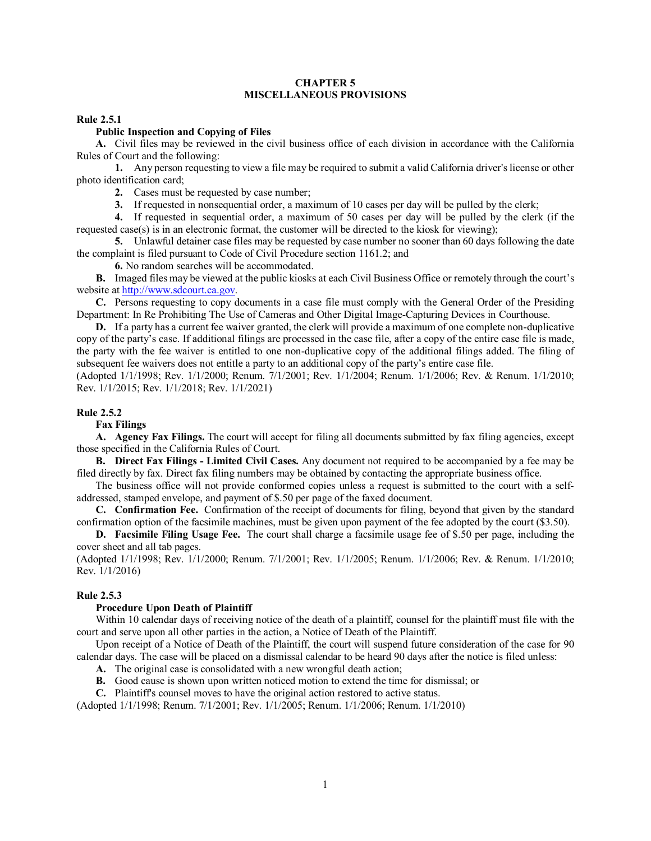## **CHAPTER 5 MISCELLANEOUS PROVISIONS**

## **Rule 2.5.1**

## **Public Inspection and Copying of Files**

**A.** Civil files may be reviewed in the civil business office of each division in accordance with the California Rules of Court and the following:

**1.** Any person requesting to view a file may be required to submit a valid California driver's license or other photo identification card;

**2.** Cases must be requested by case number;

**3.** If requested in nonsequential order, a maximum of 10 cases per day will be pulled by the clerk;

**4.** If requested in sequential order, a maximum of 50 cases per day will be pulled by the clerk (if the requested case(s) is in an electronic format, the customer will be directed to the kiosk for viewing);

**5.** Unlawful detainer case files may be requested by case number no sooner than 60 days following the date the complaint is filed pursuant to Code of Civil Procedure section 1161.2; and

**6.** No random searches will be accommodated.

**B.** Imaged files may be viewed at the public kiosks at each Civil Business Office or remotely through the court's website at [http://www.sdcourt.ca.gov.](http://www.sdcourt.ca.gov/)

**C.** Persons requesting to copy documents in a case file must comply with the General Order of the Presiding Department: In Re Prohibiting The Use of Cameras and Other Digital Image-Capturing Devices in Courthouse.

**D.** If a party has a current fee waiver granted, the clerk will provide a maximum of one complete non-duplicative copy of the party's case. If additional filings are processed in the case file, after a copy of the entire case file is made, the party with the fee waiver is entitled to one non-duplicative copy of the additional filings added. The filing of subsequent fee waivers does not entitle a party to an additional copy of the party's entire case file.

(Adopted 1/1/1998; Rev. 1/1/2000; Renum. 7/1/2001; Rev. 1/1/2004; Renum. 1/1/2006; Rev. & Renum. 1/1/2010; Rev. 1/1/2015; Rev. 1/1/2018; Rev. 1/1/2021)

## **Rule 2.5.2**

#### **Fax Filings**

**A. Agency Fax Filings.** The court will accept for filing all documents submitted by fax filing agencies, except those specified in the California Rules of Court.

**B. Direct Fax Filings - Limited Civil Cases.** Any document not required to be accompanied by a fee may be filed directly by fax. Direct fax filing numbers may be obtained by contacting the appropriate business office.

The business office will not provide conformed copies unless a request is submitted to the court with a selfaddressed, stamped envelope, and payment of \$.50 per page of the faxed document.

**C. Confirmation Fee.** Confirmation of the receipt of documents for filing, beyond that given by the standard confirmation option of the facsimile machines, must be given upon payment of the fee adopted by the court (\$3.50).

**D. Facsimile Filing Usage Fee.** The court shall charge a facsimile usage fee of \$.50 per page, including the cover sheet and all tab pages.

(Adopted 1/1/1998; Rev. 1/1/2000; Renum. 7/1/2001; Rev. 1/1/2005; Renum. 1/1/2006; Rev. & Renum. 1/1/2010; Rev. 1/1/2016)

# **Rule 2.5.3**

#### **Procedure Upon Death of Plaintiff**

Within 10 calendar days of receiving notice of the death of a plaintiff, counsel for the plaintiff must file with the court and serve upon all other parties in the action, a Notice of Death of the Plaintiff.

Upon receipt of a Notice of Death of the Plaintiff, the court will suspend future consideration of the case for 90 calendar days. The case will be placed on a dismissal calendar to be heard 90 days after the notice is filed unless:

**A.** The original case is consolidated with a new wrongful death action;

**B.** Good cause is shown upon written noticed motion to extend the time for dismissal; or

**C.** Plaintiff's counsel moves to have the original action restored to active status.

(Adopted 1/1/1998; Renum. 7/1/2001; Rev. 1/1/2005; Renum. 1/1/2006; Renum. 1/1/2010)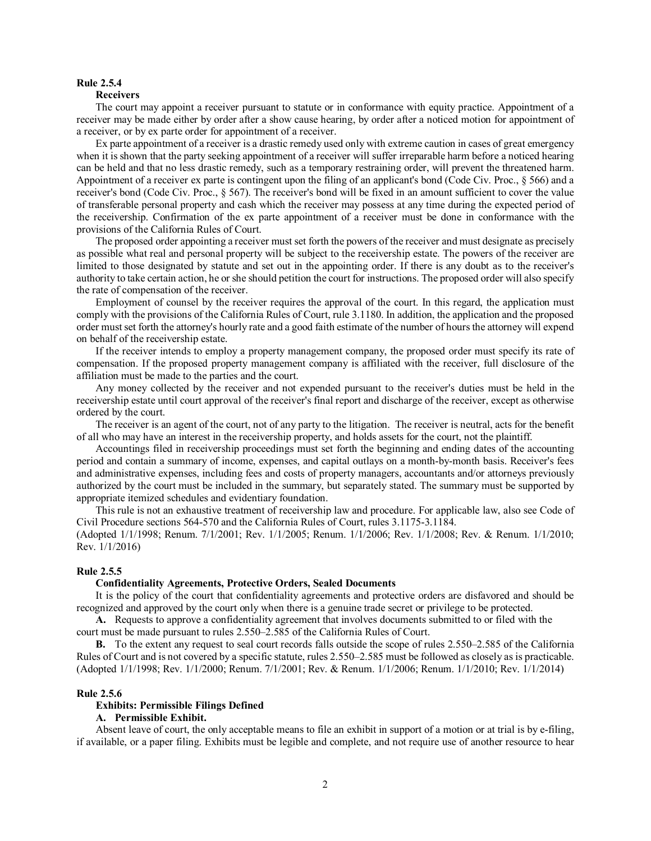# **Rule 2.5.4**

### **Receivers**

The court may appoint a receiver pursuant to statute or in conformance with equity practice. Appointment of a receiver may be made either by order after a show cause hearing, by order after a noticed motion for appointment of a receiver, or by ex parte order for appointment of a receiver.

Ex parte appointment of a receiver is a drastic remedy used only with extreme caution in cases of great emergency when it is shown that the party seeking appointment of a receiver will suffer irreparable harm before a noticed hearing can be held and that no less drastic remedy, such as a temporary restraining order, will prevent the threatened harm. Appointment of a receiver ex parte is contingent upon the filing of an applicant's bond (Code Civ. Proc., § 566) and a receiver's bond (Code Civ. Proc., § 567). The receiver's bond will be fixed in an amount sufficient to cover the value of transferable personal property and cash which the receiver may possess at any time during the expected period of the receivership. Confirmation of the ex parte appointment of a receiver must be done in conformance with the provisions of the California Rules of Court.

The proposed order appointing a receiver must set forth the powers of the receiver and must designate as precisely as possible what real and personal property will be subject to the receivership estate. The powers of the receiver are limited to those designated by statute and set out in the appointing order. If there is any doubt as to the receiver's authority to take certain action, he or she should petition the court for instructions. The proposed order will also specify the rate of compensation of the receiver.

Employment of counsel by the receiver requires the approval of the court. In this regard, the application must comply with the provisions of the California Rules of Court, rule 3.1180. In addition, the application and the proposed order must set forth the attorney's hourly rate and a good faith estimate of the number of hours the attorney will expend on behalf of the receivership estate.

If the receiver intends to employ a property management company, the proposed order must specify its rate of compensation. If the proposed property management company is affiliated with the receiver, full disclosure of the affiliation must be made to the parties and the court.

Any money collected by the receiver and not expended pursuant to the receiver's duties must be held in the receivership estate until court approval of the receiver's final report and discharge of the receiver, except as otherwise ordered by the court.

The receiver is an agent of the court, not of any party to the litigation. The receiver is neutral, acts for the benefit of all who may have an interest in the receivership property, and holds assets for the court, not the plaintiff.

Accountings filed in receivership proceedings must set forth the beginning and ending dates of the accounting period and contain a summary of income, expenses, and capital outlays on a month-by-month basis. Receiver's fees and administrative expenses, including fees and costs of property managers, accountants and/or attorneys previously authorized by the court must be included in the summary, but separately stated. The summary must be supported by appropriate itemized schedules and evidentiary foundation.

This rule is not an exhaustive treatment of receivership law and procedure. For applicable law, also see Code of Civil Procedure sections 564-570 and the California Rules of Court, rules 3.1175-3.1184.

(Adopted 1/1/1998; Renum. 7/1/2001; Rev. 1/1/2005; Renum. 1/1/2006; Rev. 1/1/2008; Rev. & Renum. 1/1/2010; Rev. 1/1/2016)

## **Rule 2.5.5**

## **Confidentiality Agreements, Protective Orders, Sealed Documents**

It is the policy of the court that confidentiality agreements and protective orders are disfavored and should be recognized and approved by the court only when there is a genuine trade secret or privilege to be protected.

**A.** Requests to approve a confidentiality agreement that involves documents submitted to or filed with the court must be made pursuant to rules 2.550–2.585 of the California Rules of Court.

**B.** To the extent any request to seal court records falls outside the scope of rules 2.550–2.585 of the California Rules of Court and is not covered by a specific statute, rules 2.550–2.585 must be followed as closely as is practicable. (Adopted 1/1/1998; Rev. 1/1/2000; Renum. 7/1/2001; Rev. & Renum. 1/1/2006; Renum. 1/1/2010; Rev. 1/1/2014)

### **Rule 2.5.6**

## **Exhibits: Permissible Filings Defined**

# **A. Permissible Exhibit.**

Absent leave of court, the only acceptable means to file an exhibit in support of a motion or at trial is by e-filing, if available, or a paper filing. Exhibits must be legible and complete, and not require use of another resource to hear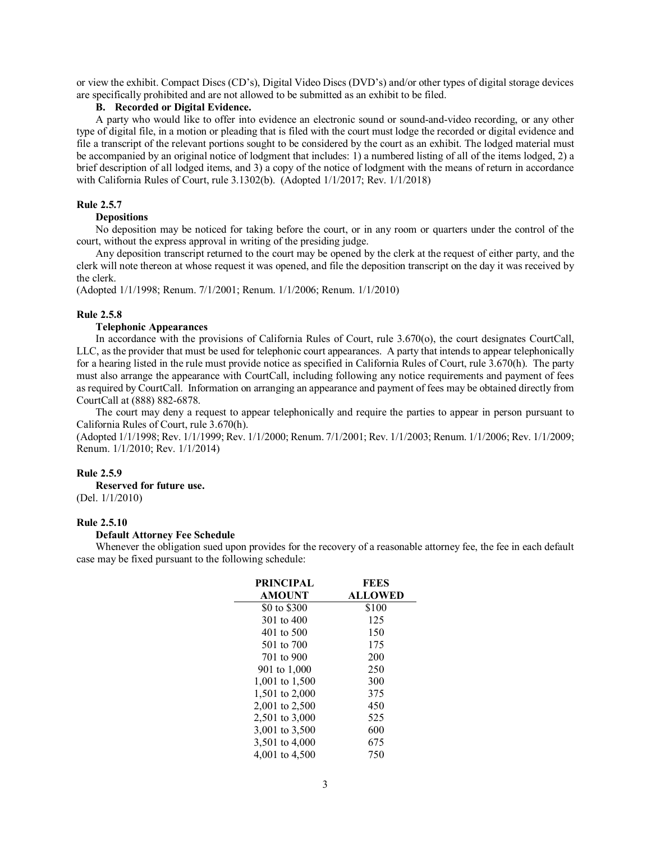or view the exhibit. Compact Discs (CD's), Digital Video Discs (DVD's) and/or other types of digital storage devices are specifically prohibited and are not allowed to be submitted as an exhibit to be filed.

# **B. Recorded or Digital Evidence.**

A party who would like to offer into evidence an electronic sound or sound-and-video recording, or any other type of digital file, in a motion or pleading that is filed with the court must lodge the recorded or digital evidence and file a transcript of the relevant portions sought to be considered by the court as an exhibit. The lodged material must be accompanied by an original notice of lodgment that includes: 1) a numbered listing of all of the items lodged, 2) a brief description of all lodged items, and 3) a copy of the notice of lodgment with the means of return in accordance with California Rules of Court, rule 3.1302(b). (Adopted 1/1/2017; Rev. 1/1/2018)

# **Rule 2.5.7**

## **Depositions**

No deposition may be noticed for taking before the court, or in any room or quarters under the control of the court, without the express approval in writing of the presiding judge.

Any deposition transcript returned to the court may be opened by the clerk at the request of either party, and the clerk will note thereon at whose request it was opened, and file the deposition transcript on the day it was received by the clerk.

(Adopted 1/1/1998; Renum. 7/1/2001; Renum. 1/1/2006; Renum. 1/1/2010)

### **Rule 2.5.8**

# **Telephonic Appearances**

In accordance with the provisions of California Rules of Court, rule 3.670(o), the court designates CourtCall, LLC, as the provider that must be used for telephonic court appearances. A party that intends to appear telephonically for a hearing listed in the rule must provide notice as specified in California Rules of Court, rule 3.670(h). The party must also arrange the appearance with CourtCall, including following any notice requirements and payment of fees as required by CourtCall. Information on arranging an appearance and payment of fees may be obtained directly from CourtCall at (888) 882-6878.

The court may deny a request to appear telephonically and require the parties to appear in person pursuant to California Rules of Court, rule 3.670(h).

(Adopted 1/1/1998; Rev. 1/1/1999; Rev. 1/1/2000; Renum. 7/1/2001; Rev. 1/1/2003; Renum. 1/1/2006; Rev. 1/1/2009; Renum. 1/1/2010; Rev. 1/1/2014)

## **Rule 2.5.9**

**Reserved for future use.**

(Del. 1/1/2010)

## **Rule 2.5.10**

#### **Default Attorney Fee Schedule**

Whenever the obligation sued upon provides for the recovery of a reasonable attorney fee, the fee in each default case may be fixed pursuant to the following schedule:

| <b>PRINCIPAL</b> | FEES           |  |
|------------------|----------------|--|
| <b>AMOUNT</b>    | <b>ALLOWED</b> |  |
| \$0 to \$300     | \$100          |  |
| 301 to 400       | 125            |  |
| 401 to 500       | 150            |  |
| 501 to 700       | 175            |  |
| 701 to 900       | 200            |  |
| 901 to 1,000     | 250            |  |
| 1,001 to 1,500   | 300            |  |
| 1.501 to 2,000   | 375            |  |
| 2,001 to 2,500   | 450            |  |
| 2,501 to 3,000   | 525            |  |
| 3,001 to 3,500   | 600            |  |
| 3,501 to 4,000   | 675            |  |
| 4,001 to 4,500   | 750            |  |